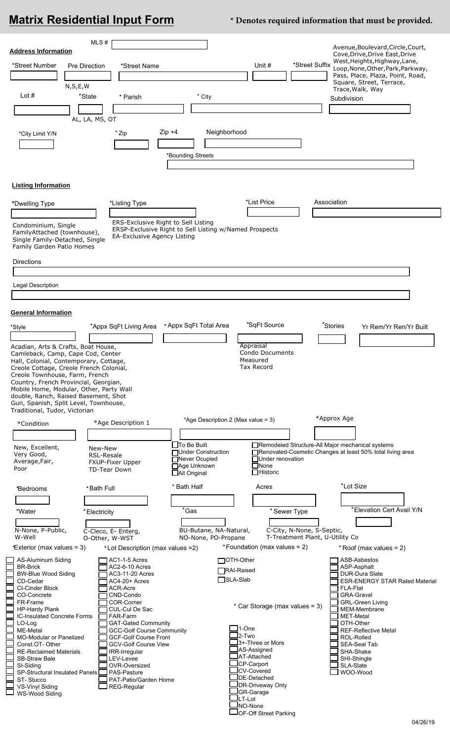## **Matrix Residential Input Form**

## **\* Denotes required information that must be provided.**

| MLS#<br>Avenue, Boulevard, Circle, Court,<br><b>Address Information</b>                                                                                                                    |  |
|--------------------------------------------------------------------------------------------------------------------------------------------------------------------------------------------|--|
| Cove, Drive, Drive East, Drive<br>West, Heights, Highway, Lane,<br>*Street Suffix<br>Unit #<br>*Street Number<br>Pre Direction<br>*Street Name                                             |  |
| Loop, None, Other, Park, Parkway,<br>Pass, Place, Plaza, Point, Road,                                                                                                                      |  |
| Square, Street, Terrace,<br>N, S, E, W<br>Trace, Walk, Way                                                                                                                                 |  |
| Lot $#$<br>*State<br>* City<br>* Parish<br>Subdivision                                                                                                                                     |  |
| AL, LA, MS, OT                                                                                                                                                                             |  |
| Neighborhood<br>$Zip +4$<br>* Zip<br>*City Limit Y/N                                                                                                                                       |  |
|                                                                                                                                                                                            |  |
| *Bounding Streets                                                                                                                                                                          |  |
|                                                                                                                                                                                            |  |
| <b>Listing Information</b>                                                                                                                                                                 |  |
| *List Price<br>Association<br>*Dwelling Type<br>*Listing Type                                                                                                                              |  |
| ERS-Exclusive Right to Sell Listing<br>Condominium, Single                                                                                                                                 |  |
| ERSP-Exclusive Right to Sell Listing w/Named Prospects<br>FamilyAttached (townhouse),<br>EA-Exclusive Agency Listing<br>Single Family-Detached, Single                                     |  |
| Family Garden Patio Homes                                                                                                                                                                  |  |
| <b>Directions</b>                                                                                                                                                                          |  |
|                                                                                                                                                                                            |  |
| Legal Description                                                                                                                                                                          |  |
|                                                                                                                                                                                            |  |
| <b>General Information</b><br>*SqFt Source                                                                                                                                                 |  |
| *Stories<br>* Appx SqFt Total Area<br>*Appx SqFt Living Area<br>*Style<br>Yr Rem/Yr Ren/Yr Built                                                                                           |  |
| Appraisal<br>Acadian, Arts & Crafts, Boat House,                                                                                                                                           |  |
| Condo Documents<br>Camleback, Camp, Cape Cod, Center<br>Measured<br>Hall, Colonial, Contemporary, Cottage,                                                                                 |  |
| <b>Tax Record</b><br>Creole Cottage, Creole French Colonial,<br>Creole Townhouse, Farm, French                                                                                             |  |
| Country, French Provincial, Georgian,<br>Mobile Home, Modular, Other, Party Wall                                                                                                           |  |
| double, Ranch, Raised Basement, Shot<br>Gun, Spanish, Split Level, Townhouse,                                                                                                              |  |
| Traditional, Tudor, Victorian<br>*Approx Age                                                                                                                                               |  |
| *Age Description 2 (Max value = 3)<br>*Age Description 1<br>*Condition                                                                                                                     |  |
| □To Be Built<br>Remodeled Structure-All Major mechanical systems                                                                                                                           |  |
| New, Excellent,<br>New-New<br>□Under Construction<br>□ Renovated-Cosmetic Changes at least 50% total living area<br>Very Good,<br><b>RSL-Resale</b><br>□Never Ocupied<br>□Under renovation |  |
| Average, Fair,<br>FXUP-Fixer Upper<br>□ Age Unknown<br>$\Box$ None<br>Poor<br>TD-Tear Down<br>$\Box$ Historic<br>□All Original                                                             |  |
| *Lot Size<br>* Bath Half<br>Acres<br>*Bath Full<br>*Bedrooms                                                                                                                               |  |
|                                                                                                                                                                                            |  |
| *Elevation Cert Avail Y/N<br>*Gas<br>* Sewer Type<br>*Water<br>*Electricity                                                                                                                |  |
| N-None, P-Public,<br>BU-Butane, NA-Natural,<br>C-City, N-None, S-Septic,<br>C-Cleco, E- Enterg,                                                                                            |  |
| W-Well<br>T-Treatment Plant, U-Utility Co<br>NO-None, PO-Propane<br>O-Other, W-WST                                                                                                         |  |
| *Foundation (max values = 2)<br><i>*Exterior (max values = 3)</i><br>*Lot Description (max values =2)<br>* Roof (max values = $2$ )                                                        |  |
| AS-Aluminum Siding<br>AC1-1-5 Acres<br>□OTH-Other<br>ASB-Asbestos<br><b>BR-Brick</b><br>AC2-6-10 Acres<br>ASP-Asphalt<br>RAI-Raised                                                        |  |
| <b>BW-Blue Wood Siding</b><br>AC3-11-20 Acres<br><b>DUR-Dura Slate</b><br>SLA-Slab<br>CD-Cedar<br>AC4-20+ Acres<br><b>ESR-ENERGY STAR Rated Material</b>                                   |  |
| CI-Cinder Block<br>ACR-Acre<br><b>FLA-Flat</b><br><b>GRA-Gravel</b><br>CO-Concrete<br>CND-Condo                                                                                            |  |
| FR-Frame<br>COR-Corner<br><b>GRL-Green Living</b><br>* Car Storage (max values = $3$ )<br>HP-Hardy Plank<br>CUL-Cul De Sac<br>MEM-Membrane                                                 |  |
| <b>IC-Insulated Concrete Forms</b><br><b>MET-Metal</b><br>FAR-Farm<br>OTH-Other<br>LO-Log<br><b>GAT-Gated Community</b>                                                                    |  |
| $\Box$ 1-One<br>ME-Metal<br><b>GCC-Golf Course Community</b><br><b>REF-Reflective Metal</b><br>$\Box$ 2-Two<br>MO-Modular or Panelized                                                     |  |
| <b>GCF-Golf Course Front</b><br>ROL-Rolled<br>⊿3+-Three or More<br>Const.OT-Other<br><b>GCV-Golf Course View</b><br><b>SEA-Seal Tab</b><br>$\Box$ AS-Assigned                              |  |
| SHA-Shake<br><b>RE-Reclaimed Materials</b><br>IRR-Irregular<br>JAT-Attached<br>LEV-Levee<br>SHI-Shingle<br>SB-Straw Bale<br>$\mathbf{\underline{I}}$ CP-Carport                            |  |
| OVR-Oversized<br>SLA-Slate<br>SI-Siding<br>$\mathsf{J}\textsc{cv}$ -Covered<br>SP-Structural Insulated Panels<br>$\Box$ PAS-Pasture<br>WOO-Wood                                            |  |
| <b>IDE-Detached</b><br>ST-Stucco<br>PAT-Patio/Garden Home<br>DR-Driveway Only<br>VS-Vinyl Siding<br>REG-Regular                                                                            |  |
| GR-Garage<br>└── WS-Wood Siding<br>$\Box$ LT-Lot                                                                                                                                           |  |
| $\mathbf{\underline{I}}$ NO-None                                                                                                                                                           |  |

OF-Off Street Parking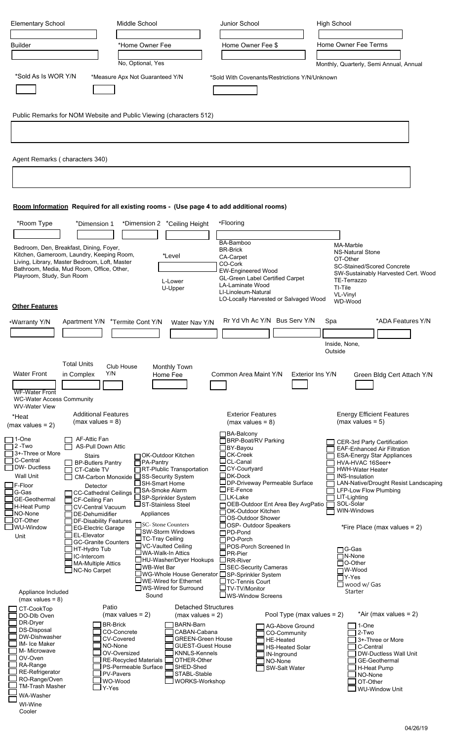| <b>Elementary School</b>                                                                   |                                                            | Middle School                                            |                                                  | Junior School                                       |                                                         | <b>High School</b>  |                                                                  |  |
|--------------------------------------------------------------------------------------------|------------------------------------------------------------|----------------------------------------------------------|--------------------------------------------------|-----------------------------------------------------|---------------------------------------------------------|---------------------|------------------------------------------------------------------|--|
| <b>Builder</b>                                                                             |                                                            | *Home Owner Fee                                          |                                                  | Home Owner Fee \$                                   |                                                         |                     | Home Owner Fee Terms                                             |  |
|                                                                                            |                                                            | No, Optional, Yes                                        |                                                  |                                                     |                                                         |                     | Monthly, Quarterly, Semi Annual, Annual                          |  |
| *Sold As Is WOR Y/N                                                                        |                                                            | *Measure Apx Not Guaranteed Y/N                          |                                                  |                                                     | *Sold With Covenants/Restrictions Y/N/Unknown           |                     |                                                                  |  |
|                                                                                            |                                                            |                                                          |                                                  |                                                     |                                                         |                     |                                                                  |  |
|                                                                                            |                                                            |                                                          |                                                  |                                                     |                                                         |                     |                                                                  |  |
| Public Remarks for NOM Website and Public Viewing (characters 512)                         |                                                            |                                                          |                                                  |                                                     |                                                         |                     |                                                                  |  |
|                                                                                            |                                                            |                                                          |                                                  |                                                     |                                                         |                     |                                                                  |  |
| Agent Remarks (characters 340)                                                             |                                                            |                                                          |                                                  |                                                     |                                                         |                     |                                                                  |  |
|                                                                                            |                                                            |                                                          |                                                  |                                                     |                                                         |                     |                                                                  |  |
|                                                                                            |                                                            |                                                          |                                                  |                                                     |                                                         |                     |                                                                  |  |
| Room Information Required for all existing rooms - (Use page 4 to add additional rooms)    |                                                            |                                                          |                                                  |                                                     |                                                         |                     |                                                                  |  |
| *Room Type                                                                                 | *Dimension 1                                               | *Dimension 2 *Ceiling Height                             |                                                  | *Flooring                                           |                                                         |                     |                                                                  |  |
|                                                                                            |                                                            |                                                          |                                                  | BA-Bamboo                                           |                                                         |                     |                                                                  |  |
| Bedroom, Den, Breakfast, Dining, Foyer,<br>Kitchen, Gameroom, Laundry, Keeping Room,       |                                                            | *Level                                                   |                                                  | <b>BR-Brick</b><br>CA-Carpet                        |                                                         |                     | MA-Marble<br><b>NS-Natural Stone</b>                             |  |
| Living, Library, Master Bedroom, Loft, Master<br>Bathroom, Media, Mud Room, Office, Other, |                                                            |                                                          |                                                  | CO-Cork<br><b>EW-Engineered Wood</b>                |                                                         | OT-Other            | <b>SC-Stained/Scored Concrete</b>                                |  |
| Playroom, Study, Sun Room                                                                  |                                                            | L-Lower                                                  |                                                  | GL-Green Label Certified Carpet<br>LA-Laminate Wood |                                                         |                     | SW-Sustainably Harvested Cert. Wood<br>TE-Terrazzo               |  |
|                                                                                            |                                                            | U-Upper                                                  |                                                  | LI-Linoleum-Natural                                 | LO-Locally Harvested or Salvaged Wood                   | TI-Tile<br>VL-Vinyl |                                                                  |  |
| <b>Other Features</b>                                                                      |                                                            |                                                          |                                                  |                                                     |                                                         | WD-Wood             |                                                                  |  |
| *Warranty Y/N                                                                              | Apartment Y/N *Termite Cont Y/N                            |                                                          | Water Nav Y/N                                    |                                                     | Rr Yd Vh Ac Y/N Bus Serv Y/N                            | Spa                 | *ADA Features Y/N                                                |  |
|                                                                                            |                                                            |                                                          |                                                  |                                                     |                                                         | Inside, None,       |                                                                  |  |
|                                                                                            |                                                            |                                                          |                                                  |                                                     |                                                         | Outside             |                                                                  |  |
| <b>Water Front</b>                                                                         | <b>Total Units</b><br>Club House<br>Y/N<br>in Complex      | Monthly Town<br>Home Fee                                 |                                                  | Common Area Maint Y/N                               | Exterior Ins Y/N                                        |                     | Green Bldg Cert Attach Y/N                                       |  |
|                                                                                            |                                                            |                                                          |                                                  |                                                     |                                                         |                     |                                                                  |  |
| <b>WF-Water Front</b><br><b>WC-Water Access Community</b>                                  |                                                            |                                                          |                                                  |                                                     |                                                         |                     |                                                                  |  |
| <b>WV-Water View</b><br>*Heat                                                              | <b>Additional Features</b>                                 |                                                          |                                                  | <b>Exterior Features</b>                            |                                                         |                     | <b>Energy Efficient Features</b>                                 |  |
| $(max values = 2)$                                                                         | $(max values = 8)$                                         |                                                          |                                                  | $(max values = 8)$                                  |                                                         |                     | (max values $= 5$ )                                              |  |
| $71-One$<br>$12 - Two$                                                                     | AF-Attic Fan<br><b>AS-Pull Down Attic</b>                  |                                                          |                                                  | <b>□BA-Balcony</b><br>□BRP-Boat/RV Parking          |                                                         |                     | CER-3rd Party Certification                                      |  |
| 13+-Three or More<br>C-Central                                                             | <b>Stairs</b>                                              | □ OK-Outdoor Kitchen                                     |                                                  | □BY-Bayou<br>$\Box$ CK-Creek                        |                                                         |                     | EAF-Enhanced Air Filtration<br><b>ESA-Energy Star Appliances</b> |  |
| <b>DW-Ductless</b>                                                                         | <b>BP-Butlers Pantry</b><br>CT-Cable TV                    | □PA-Pantry<br>RT-Plublic Transportation                  |                                                  | $\Box$ CL-Canal<br>$\Box$ CY-Courtyard              |                                                         |                     | HVA-HVAC 16Seer+<br>HWH-Water Heater                             |  |
| Wall Unit<br>$JF$ -Floor                                                                   | Detector                                                   | CM-Carbon Monoxide □SS-Security System<br>□SH-Smart Home |                                                  | $\Box$ DK-Dock                                      | □DP-Driveway Permeable Surface                          |                     | <b>INS-Insulation</b><br>LAN-Native/Drought Resist Landscaping   |  |
| $\operatorname{\mathsf{IG-Gas}}$<br>GE-Geothermal                                          | CC-Cathedral Ceilings<br>CF-Ceiling Fan                    | □SA-Smoke Alarm<br>□SP-Sprinkler System                  |                                                  | $\Box$ FE-Fence<br>$\Box$ LK-Lake                   |                                                         |                     | LFP-Low Flow Plumbing<br>LIT-Lighting                            |  |
| H-Heat Pump<br>$J$ NO-None                                                                 | CV-Central Vacuum<br>DE-Dehumidifier                       | ⊔ST-Stainless Steel<br>Appliances                        |                                                  | □OK-Outdoor Kitchen                                 | OEB-Outdoor Ent Area Bey AvgPatio                       |                     | SOL-Solar<br>WIN-Windows                                         |  |
| <b>J</b> OT-Other<br>JWU-Window                                                            | <b>DF-Disability Features</b><br><b>EG-Electric Garage</b> | SC-Stone Counters                                        |                                                  | □ OS-Outdoor Shower<br>□ OSP- Outdoor Speakers      |                                                         |                     | <i>*Fire Place (max values = 2)</i>                              |  |
| Unit                                                                                       | <b>EL-Elevator</b><br><b>GC-Granite Counters</b>           | □SW-Storm Windows<br>$\Box$ TC-Tray Ceiling              |                                                  | □PD-Pond<br>$\Box$ PO-Porch                         |                                                         |                     |                                                                  |  |
|                                                                                            | HT-Hydro Tub<br>□IC-Intercom                               | □VC-Vaulted Ceiling<br>□WA-Walk-In Attics                |                                                  | □POS-Porch Screened In<br>$\Box$ PR-Pier            |                                                         |                     | $\Box$ G-Gas<br>$\overline{\Box}$ N-None                         |  |
|                                                                                            | MA-Multiple Attics<br>NC-No Carpet                         | □HU-Washer/Dryer Hookups<br>□WB-Wet Bar                  |                                                  | $\Box$ RR-River<br>□SEC-Security Cameras            |                                                         |                     | $\Box$ O-Other<br>$\Box$ W-Wood                                  |  |
|                                                                                            |                                                            | $\Box$ WE-Wired for Ethernet                             | □WG-Whole House Generator □SP-Sprinkler System   | □TC-Tennis Court                                    |                                                         |                     | $\Box$ Y-Yes<br>$\Box$ wood w/ Gas                               |  |
| Appliance Included<br>$(max values = 8)$                                                   |                                                            | □WS-Wired for Surround<br>Sound                          |                                                  | $\Box$ TV-TV/Monitor<br>$\square$ WS-Window Screens |                                                         |                     | Starter                                                          |  |
| CT-CookTop                                                                                 | Patio                                                      |                                                          | <b>Detached Structures</b>                       |                                                     |                                                         |                     |                                                                  |  |
| DO-DIb Oven<br>DR-Dryer                                                                    | <b>BR-Brick</b>                                            | $(max values = 2)$                                       | $(max values = 2)$<br><b>BARN-Barn</b>           |                                                     | Pool Type (max values = $2$ )<br><b>AG-Above Ground</b> |                     | *Air (max values = 2)<br>1-One                                   |  |
| DS-Disposal<br>DW-Dishwasher                                                               | CO-Concrete<br><b>CV-Covered</b>                           |                                                          | CABAN-Cabana<br><b>GREEN-Green House</b>         |                                                     | CO-Community<br>HE-Heated                               |                     | 2-Two<br>3+-Three or More                                        |  |
| IM- Ice Maker<br>M- Microwave                                                              | NO-None<br>OV-Oversized                                    |                                                          | <b>GUEST-Guest House</b><br><b>KNNLS-Kennels</b> |                                                     | <b>HS-Heated Solar</b><br>IN-Inground                   |                     | C-Central<br>DW-Ductless Wall Unit                               |  |
| OV-Oven<br>RA-Range                                                                        |                                                            | <b>RE-Recycled Materials</b><br>PS-Permeable Surface     | OTHER-Other<br>SHED-Shed                         |                                                     | NO-None<br><b>SW-Salt Water</b>                         |                     | GE-Geothermal<br>H-Heat Pump                                     |  |
| RE-Refrigerator<br>RO-Range/Oven                                                           | PV-Pavers<br>$J$ WO-Wood                                   |                                                          | $\Box$ STABL-Stable<br>WORKS-Workshop            |                                                     |                                                         |                     | <b>_I</b> NO-None                                                |  |
| TM-Trash Masher<br>WA-Washer                                                               | $\mathsf{\mathsf{J}}$ Y-Yes                                |                                                          |                                                  |                                                     |                                                         |                     | $\exists$ OT-Other<br>$\Box$ WU-Window Unit                      |  |
| WI-Wine                                                                                    |                                                            |                                                          |                                                  |                                                     |                                                         |                     |                                                                  |  |

Cooler

04/26/19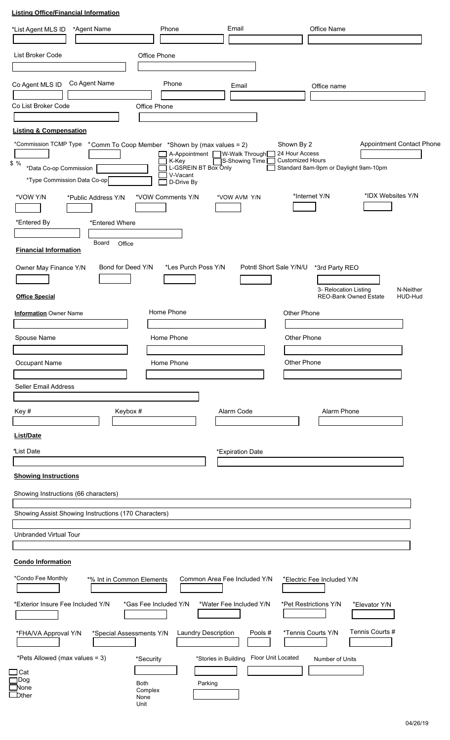## **Listing Office/Financial Information**

| List Broker Code<br>Office Phone<br>Co Agent Name<br>Co Agent MLS ID<br>Phone<br>Email<br>Office name<br>Co List Broker Code<br>Office Phone                                            |                           |
|-----------------------------------------------------------------------------------------------------------------------------------------------------------------------------------------|---------------------------|
|                                                                                                                                                                                         |                           |
|                                                                                                                                                                                         |                           |
|                                                                                                                                                                                         |                           |
|                                                                                                                                                                                         |                           |
|                                                                                                                                                                                         |                           |
|                                                                                                                                                                                         |                           |
| <b>Listing &amp; Compensation</b>                                                                                                                                                       |                           |
| *Commission TCMP Type *Comm To Coop Member *Shown by (max values = 2)<br>Shown By 2<br>24 Hour Access<br>A-Appointment<br>$\sqrt{ }$ W-Walk Through $\boxed{\phantom{.}}$               | Appointment Contact Phone |
| <b>Customized Hours</b><br>$\overline{\phantom{a}}$ S-Showing Time $\Box$<br>K-Key<br>$$ \%$<br>Standard 8am-9pm or Daylight 9am-10pm<br>*Data Co-op Commission<br>L-GSREIN BT Box Only |                           |
| V-Vacant<br>*Type Commission Data Co-op<br>D-Drive By                                                                                                                                   |                           |
| *Internet Y/N<br>*VOW Y/N<br>*Public Address Y/N<br>*VOW Comments Y/N<br>*VOW AVM Y/N                                                                                                   | *IDX Websites Y/N         |
|                                                                                                                                                                                         |                           |
| *Entered By<br>*Entered Where                                                                                                                                                           |                           |
|                                                                                                                                                                                         |                           |
| Board<br>Office<br><b>Financial Information</b>                                                                                                                                         |                           |
| Bond for Deed Y/N<br>*Les Purch Poss Y/N<br>Owner May Finance Y/N<br>Potntl Short Sale Y/N/U<br>*3rd Party REO                                                                          |                           |
|                                                                                                                                                                                         |                           |
| 3- Relocation Listing<br><b>Office Special</b><br><b>REO-Bank Owned Estate</b>                                                                                                          | N-Neither<br>HUD-Hud      |
| Home Phone<br>Other Phone<br><b>Information</b> Owner Name                                                                                                                              |                           |
|                                                                                                                                                                                         |                           |
| Home Phone<br>Other Phone<br>Spouse Name                                                                                                                                                |                           |
| Other Phone                                                                                                                                                                             |                           |
| Occupant Name<br>Home Phone                                                                                                                                                             |                           |
| <b>Seller Email Address</b>                                                                                                                                                             |                           |
|                                                                                                                                                                                         |                           |
| Alarm Code<br>Alarm Phone<br>Keybox #<br>Key#                                                                                                                                           |                           |
| <b>List/Date</b>                                                                                                                                                                        |                           |
| *List Date<br>*Expiration Date                                                                                                                                                          |                           |
|                                                                                                                                                                                         |                           |
| <b>Showing Instructions</b>                                                                                                                                                             |                           |
| Showing Instructions (66 characters)                                                                                                                                                    |                           |
| Showing Assist Showing Instructions (170 Characters)                                                                                                                                    |                           |
|                                                                                                                                                                                         |                           |
| <b>Unbranded Virtual Tour</b>                                                                                                                                                           |                           |
|                                                                                                                                                                                         |                           |
| <b>Condo Information</b>                                                                                                                                                                |                           |
| *Condo Fee Monthly<br>Common Area Fee Included Y/N<br>*Electric Fee Included Y/N<br>*% Int in Common Elements                                                                           |                           |
| *Exterior Insure Fee Included Y/N<br>*Gas Fee Included Y/N<br>*Water Fee Included Y/N<br>*Pet Restrictions Y/N<br>*Elevator Y/N                                                         |                           |
| Tennis Courts #<br>Laundry Description<br>*Tennis Courts Y/N<br>*FHA/VA Approval Y/N<br>*Special Assessments Y/N<br>Pools#                                                              |                           |
| *Pets Allowed (max values = 3)<br><b>Floor Unit Located</b><br>*Security<br>*Stories in Building<br>Number of Units                                                                     |                           |
| $\Box$ Cat                                                                                                                                                                              |                           |
| $\Box$ Dog<br>$\Box$ None<br><b>Both</b><br>Parking<br>Complex<br>$\mathop{\mathrm{Dther}}$<br>None<br>Unit                                                                             |                           |